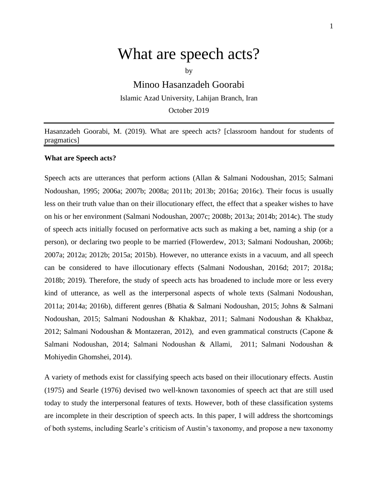# What are speech acts?

by

Minoo Hasanzadeh Goorabi Islamic Azad University, Lahijan Branch, Iran October 2019

Hasanzadeh Goorabi, M. (2019). What are speech acts? [classroom handout for students of pragmatics]

#### **What are Speech acts?**

Speech acts are utterances that perform actions (Allan & Salmani Nodoushan, 2015; Salmani Nodoushan, 1995; 2006a; 2007b; 2008a; 2011b; 2013b; 2016a; 2016c). Their focus is usually less on their truth value than on their illocutionary effect, the effect that a speaker wishes to have on his or her environment (Salmani Nodoushan, 2007c; 2008b; 2013a; 2014b; 2014c). The study of speech acts initially focused on performative acts such as making a bet, naming a ship (or a person), or declaring two people to be married (Flowerdew, 2013; Salmani Nodoushan, 2006b; 2007a; 2012a; 2012b; 2015a; 2015b). However, no utterance exists in a vacuum, and all speech can be considered to have illocutionary effects (Salmani Nodoushan, 2016d; 2017; 2018a; 2018b; 2019). Therefore, the study of speech acts has broadened to include more or less every kind of utterance, as well as the interpersonal aspects of whole texts (Salmani Nodoushan, 2011a; 2014a; 2016b), different genres (Bhatia & Salmani Nodoushan, 2015; Johns & Salmani Nodoushan, 2015; Salmani Nodoushan & Khakbaz, 2011; Salmani Nodoushan & Khakbaz, 2012; Salmani Nodoushan & Montazeran, 2012), and even grammatical constructs (Capone & Salmani Nodoushan, 2014; Salmani Nodoushan & Allami, 2011; Salmani Nodoushan & Mohiyedin Ghomshei, 2014).

A variety of methods exist for classifying speech acts based on their illocutionary effects. Austin (1975) and Searle (1976) devised two well-known taxonomies of speech act that are still used today to study the interpersonal features of texts. However, both of these classification systems are incomplete in their description of speech acts. In this paper, I will address the shortcomings of both systems, including Searle's criticism of Austin's taxonomy, and propose a new taxonomy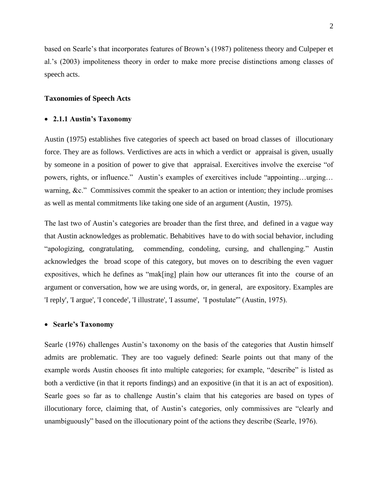based on Searle's that incorporates features of Brown's (1987) politeness theory and Culpeper et al.'s (2003) impoliteness theory in order to make more precise distinctions among classes of speech acts.

## **Taxonomies of Speech Acts**

### **2.1.1 Austin's Taxonomy**

Austin (1975) establishes five categories of speech act based on broad classes of illocutionary force. They are as follows. Verdictives are acts in which a verdict or appraisal is given, usually by someone in a position of power to give that appraisal. Exercitives involve the exercise "of powers, rights, or influence." Austin's examples of exercitives include "appointing…urging… warning, &c." Commissives commit the speaker to an action or intention; they include promises as well as mental commitments like taking one side of an argument (Austin, 1975).

The last two of Austin's categories are broader than the first three, and defined in a vague way that Austin acknowledges as problematic. Behabitives have to do with social behavior, including "apologizing, congratulating, commending, condoling, cursing, and challenging." Austin acknowledges the broad scope of this category, but moves on to describing the even vaguer expositives, which he defines as "mak[ing] plain how our utterances fit into the course of an argument or conversation, how we are using words, or, in general, are expository. Examples are 'I reply', 'I argue', 'I concede', 'I illustrate', 'I assume', 'I postulate'" (Austin, 1975).

#### **Searle's Taxonomy**

Searle (1976) challenges Austin's taxonomy on the basis of the categories that Austin himself admits are problematic. They are too vaguely defined: Searle points out that many of the example words Austin chooses fit into multiple categories; for example, "describe" is listed as both a verdictive (in that it reports findings) and an expositive (in that it is an act of exposition). Searle goes so far as to challenge Austin's claim that his categories are based on types of illocutionary force, claiming that, of Austin's categories, only commissives are "clearly and unambiguously" based on the illocutionary point of the actions they describe (Searle, 1976).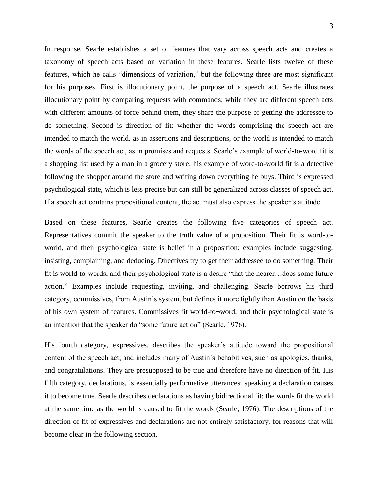In response, Searle establishes a set of features that vary across speech acts and creates a taxonomy of speech acts based on variation in these features. Searle lists twelve of these features, which he calls "dimensions of variation," but the following three are most significant for his purposes. First is illocutionary point, the purpose of a speech act. Searle illustrates illocutionary point by comparing requests with commands: while they are different speech acts with different amounts of force behind them, they share the purpose of getting the addressee to do something. Second is direction of fit: whether the words comprising the speech act are intended to match the world, as in assertions and descriptions, or the world is intended to match the words of the speech act, as in promises and requests. Searle's example of world-to-word fit is a shopping list used by a man in a grocery store; his example of word-to-world fit is a detective following the shopper around the store and writing down everything he buys. Third is expressed psychological state, which is less precise but can still be generalized across classes of speech act. If a speech act contains propositional content, the act must also express the speaker's attitude

Based on these features, Searle creates the following five categories of speech act. Representatives commit the speaker to the truth value of a proposition. Their fit is word-toworld, and their psychological state is belief in a proposition; examples include suggesting, insisting, complaining, and deducing. Directives try to get their addressee to do something. Their fit is world-to-words, and their psychological state is a desire "that the hearer…does some future action." Examples include requesting, inviting, and challenging. Searle borrows his third category, commissives, from Austin's system, but defines it more tightly than Austin on the basis of his own system of features. Commissives fit world-to¬word, and their psychological state is an intention that the speaker do "some future action" (Searle, 1976).

His fourth category, expressives, describes the speaker's attitude toward the propositional content of the speech act, and includes many of Austin's behabitives, such as apologies, thanks, and congratulations. They are presupposed to be true and therefore have no direction of fit. His fifth category, declarations, is essentially performative utterances: speaking a declaration causes it to become true. Searle describes declarations as having bidirectional fit: the words fit the world at the same time as the world is caused to fit the words (Searle, 1976). The descriptions of the direction of fit of expressives and declarations are not entirely satisfactory, for reasons that will become clear in the following section.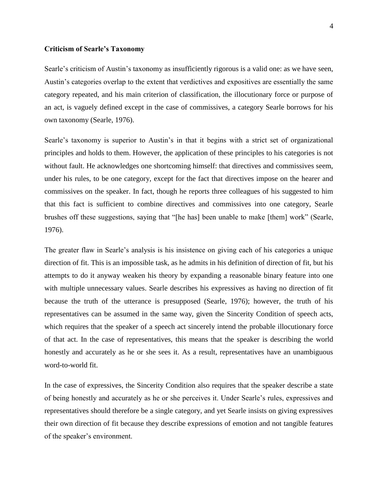## **Criticism of Searle's Taxonomy**

Searle's criticism of Austin's taxonomy as insufficiently rigorous is a valid one: as we have seen, Austin's categories overlap to the extent that verdictives and expositives are essentially the same category repeated, and his main criterion of classification, the illocutionary force or purpose of an act, is vaguely defined except in the case of commissives, a category Searle borrows for his own taxonomy (Searle, 1976).

Searle's taxonomy is superior to Austin's in that it begins with a strict set of organizational principles and holds to them. However, the application of these principles to his categories is not without fault. He acknowledges one shortcoming himself: that directives and commissives seem, under his rules, to be one category, except for the fact that directives impose on the hearer and commissives on the speaker. In fact, though he reports three colleagues of his suggested to him that this fact is sufficient to combine directives and commissives into one category, Searle brushes off these suggestions, saying that "[he has] been unable to make [them] work" (Searle, 1976).

The greater flaw in Searle's analysis is his insistence on giving each of his categories a unique direction of fit. This is an impossible task, as he admits in his definition of direction of fit, but his attempts to do it anyway weaken his theory by expanding a reasonable binary feature into one with multiple unnecessary values. Searle describes his expressives as having no direction of fit because the truth of the utterance is presupposed (Searle, 1976); however, the truth of his representatives can be assumed in the same way, given the Sincerity Condition of speech acts, which requires that the speaker of a speech act sincerely intend the probable illocutionary force of that act. In the case of representatives, this means that the speaker is describing the world honestly and accurately as he or she sees it. As a result, representatives have an unambiguous word-to-world fit.

In the case of expressives, the Sincerity Condition also requires that the speaker describe a state of being honestly and accurately as he or she perceives it. Under Searle's rules, expressives and representatives should therefore be a single category, and yet Searle insists on giving expressives their own direction of fit because they describe expressions of emotion and not tangible features of the speaker's environment.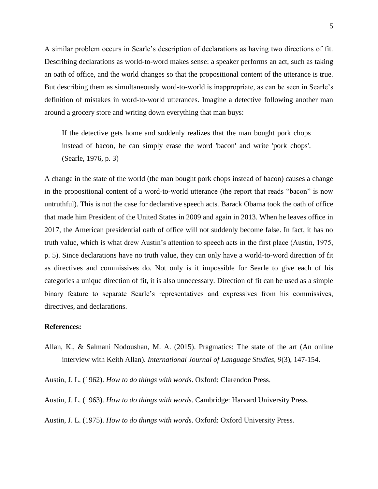A similar problem occurs in Searle's description of declarations as having two directions of fit. Describing declarations as world-to-word makes sense: a speaker performs an act, such as taking an oath of office, and the world changes so that the propositional content of the utterance is true. But describing them as simultaneously word-to-world is inappropriate, as can be seen in Searle's definition of mistakes in word-to-world utterances. Imagine a detective following another man around a grocery store and writing down everything that man buys:

If the detective gets home and suddenly realizes that the man bought pork chops instead of bacon, he can simply erase the word 'bacon' and write 'pork chops'. (Searle, 1976, p. 3)

A change in the state of the world (the man bought pork chops instead of bacon) causes a change in the propositional content of a word-to-world utterance (the report that reads "bacon" is now untruthful). This is not the case for declarative speech acts. Barack Obama took the oath of office that made him President of the United States in 2009 and again in 2013. When he leaves office in 2017, the American presidential oath of office will not suddenly become false. In fact, it has no truth value, which is what drew Austin's attention to speech acts in the first place (Austin, 1975, p. 5). Since declarations have no truth value, they can only have a world-to-word direction of fit as directives and commissives do. Not only is it impossible for Searle to give each of his categories a unique direction of fit, it is also unnecessary. Direction of fit can be used as a simple binary feature to separate Searle's representatives and expressives from his commissives, directives, and declarations.

## **References:**

Allan, K., & Salmani Nodoushan, M. A. (2015). Pragmatics: The state of the art (An online interview with Keith Allan). *International Journal of Language Studies, 9*(3), 147-154.

Austin, J. L. (1962). *How to do things with words*. Oxford: Clarendon Press.

Austin, J. L. (1963). *How to do things with words*. Cambridge: Harvard University Press.

Austin, J. L. (1975). *How to do things with words*. Oxford: Oxford University Press.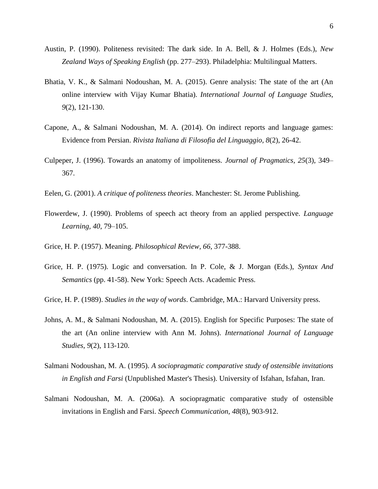- Austin, P. (1990). Politeness revisited: The dark side. In A. Bell, & J. Holmes (Eds.), *New Zealand Ways of Speaking English* (pp. 277–293). Philadelphia: Multilingual Matters.
- Bhatia, V. K., & Salmani Nodoushan, M. A. (2015). Genre analysis: The state of the art (An online interview with Vijay Kumar Bhatia). *International Journal of Language Studies, 9*(2), 121-130.
- Capone, A., & Salmani Nodoushan, M. A. (2014). On indirect reports and language games: Evidence from Persian. *Rivista Italiana di Filosofia del Linguaggio, 8*(2), 26-42.
- Culpeper, J. (1996). Towards an anatomy of impoliteness. *Journal of Pragmatics, 25*(3), 349– 367.
- Eelen, G. (2001). *A critique of politeness theories*. Manchester: St. Jerome Publishing.
- Flowerdew, J. (1990). Problems of speech act theory from an applied perspective. *Language Learning, 40*, 79–105.
- Grice, H. P. (1957). Meaning. *Philosophical Review, 66*, 377-388.
- Grice, H. P. (1975). Logic and conversation. In P. Cole, & J. Morgan (Eds.), *Syntax And Semantics* (pp. 41-58). New York: Speech Acts. Academic Press.
- Grice, H. P. (1989). *Studies in the way of words*. Cambridge, MA.: Harvard University press.
- Johns, A. M., & Salmani Nodoushan, M. A. (2015). English for Specific Purposes: The state of the art (An online interview with Ann M. Johns). *International Journal of Language Studies, 9*(2), 113-120.
- Salmani Nodoushan, M. A. (1995). *A sociopragmatic comparative study of ostensible invitations in English and Farsi* (Unpublished Master's Thesis). University of Isfahan, Isfahan, Iran.
- Salmani Nodoushan, M. A. (2006a). A sociopragmatic comparative study of ostensible invitations in English and Farsi. *Speech Communication, 48*(8), 903-912.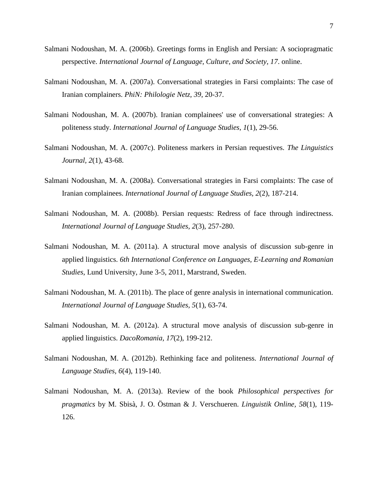- Salmani Nodoushan, M. A. (2006b). Greetings forms in English and Persian: A sociopragmatic perspective. *International Journal of Language, Culture, and Society, 17*. online.
- Salmani Nodoushan, M. A. (2007a). Conversational strategies in Farsi complaints: The case of Iranian complainers. *PhiN: Philologie Netz, 39*, 20-37.
- Salmani Nodoushan, M. A. (2007b). Iranian complainees' use of conversational strategies: A politeness study. *International Journal of Language Studies, 1*(1), 29-56.
- Salmani Nodoushan, M. A. (2007c). Politeness markers in Persian requestives. *The Linguistics Journal, 2*(1), 43-68.
- Salmani Nodoushan, M. A. (2008a). Conversational strategies in Farsi complaints: The case of Iranian complainees. *International Journal of Language Studies, 2*(2), 187-214.
- Salmani Nodoushan, M. A. (2008b). Persian requests: Redress of face through indirectness. *International Journal of Language Studies, 2*(3), 257-280.
- Salmani Nodoushan, M. A. (2011a). A structural move analysis of discussion sub-genre in applied linguistics. *6th International Conference on Languages, E-Learning and Romanian Studies*, Lund University, June 3-5, 2011, Marstrand, Sweden.
- Salmani Nodoushan, M. A. (2011b). The place of genre analysis in international communication. *International Journal of Language Studies, 5*(1), 63-74.
- Salmani Nodoushan, M. A. (2012a). A structural move analysis of discussion sub-genre in applied linguistics. *DacoRomania, 17*(2), 199-212.
- Salmani Nodoushan, M. A. (2012b). Rethinking face and politeness. *International Journal of Language Studies, 6*(4), 119-140.
- Salmani Nodoushan, M. A. (2013a). Review of the book *Philosophical perspectives for pragmatics* by M. Sbisà, J. O. Östman & J. Verschueren. *Linguistik Online, 58*(1), 119- 126.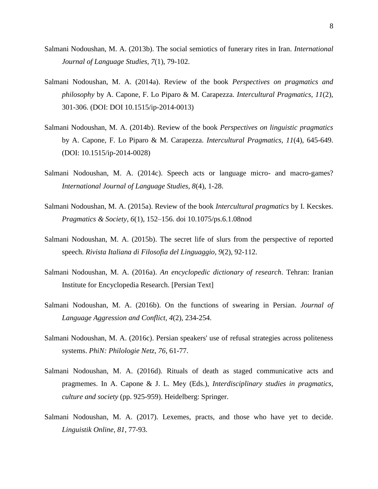- Salmani Nodoushan, M. A. (2013b). The social semiotics of funerary rites in Iran. *International Journal of Language Studies, 7*(1), 79-102.
- Salmani Nodoushan, M. A. (2014a). Review of the book *Perspectives on pragmatics and philosophy* by A. Capone, F. Lo Piparo & M. Carapezza. *Intercultural Pragmatics, 11*(2), 301-306. (DOI: DOI 10.1515/ip-2014-0013)
- Salmani Nodoushan, M. A. (2014b). Review of the book *Perspectives on linguistic pragmatics* by A. Capone, F. Lo Piparo & M. Carapezza. *Intercultural Pragmatics, 11*(4), 645-649. (DOI: 10.1515/ip-2014-0028)
- Salmani Nodoushan, M. A. (2014c). Speech acts or language micro- and macro-games? *International Journal of Language Studies, 8*(4), 1-28.
- Salmani Nodoushan, M. A. (2015a). Review of the book *Intercultural pragmatics* by I. Kecskes. *Pragmatics & Society, 6*(1), 152–156. doi 10.1075/ps.6.1.08nod
- Salmani Nodoushan, M. A. (2015b). The secret life of slurs from the perspective of reported speech. *Rivista Italiana di Filosofia del Linguaggio, 9*(2), 92-112.
- Salmani Nodoushan, M. A. (2016a). *An encyclopedic dictionary of research*. Tehran: Iranian Institute for Encyclopedia Research. [Persian Text]
- Salmani Nodoushan, M. A. (2016b). On the functions of swearing in Persian. *Journal of Language Aggression and Conflict, 4*(2), 234-254.
- Salmani Nodoushan, M. A. (2016c). Persian speakers' use of refusal strategies across politeness systems. *PhiN: Philologie Netz, 76*, 61-77.
- Salmani Nodoushan, M. A. (2016d). Rituals of death as staged communicative acts and pragmemes. In A. Capone & J. L. Mey (Eds.), *Interdisciplinary studies in pragmatics, culture and society* (pp. 925-959). Heidelberg: Springer.
- Salmani Nodoushan, M. A. (2017). Lexemes, practs, and those who have yet to decide. *Linguistik Online, 81*, 77-93.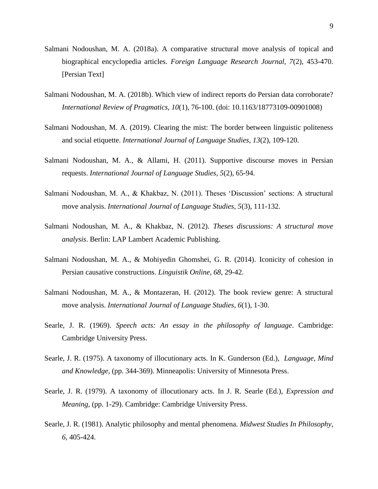- Salmani Nodoushan, M. A. (2018a). A comparative structural move analysis of topical and biographical encyclopedia articles. *Foreign Language Research Journal, 7*(2), 453-470. [Persian Text]
- Salmani Nodoushan, M. A. (2018b). Which view of indirect reports do Persian data corroborate? *International Review of Pragmatics, 10*(1), 76-100. (doi: 10.1163/18773109-00901008)
- Salmani Nodoushan, M. A. (2019). Clearing the mist: The border between linguistic politeness and social etiquette. *International Journal of Language Studies, 13*(2), 109-120.
- Salmani Nodoushan, M. A., & Allami, H. (2011). Supportive discourse moves in Persian requests. *International Journal of Language Studies, 5*(2), 65-94.
- Salmani Nodoushan, M. A., & Khakbaz, N. (2011). Theses 'Discussion' sections: A structural move analysis. *International Journal of Language Studies, 5*(3), 111-132.
- Salmani Nodoushan, M. A., & Khakbaz, N. (2012). *Theses discussions: A structural move analysis*. Berlin: LAP Lambert Academic Publishing.
- Salmani Nodoushan, M. A., & Mohiyedin Ghomshei, G. R. (2014). Iconicity of cohesion in Persian causative constructions. *Linguistik Online, 68*, 29-42.
- Salmani Nodoushan, M. A., & Montazeran, H. (2012). The book review genre: A structural move analysis. *International Journal of Language Studies, 6*(1), 1-30.
- Searle, J. R. (1969). *Speech acts: An essay in the philosophy of language*. Cambridge: Cambridge University Press.
- Searle, J. R. (1975). A taxonomy of illocutionary acts. In K. Gunderson (Ed.), *Language, Mind and Knowledge*, (pp. 344-369). Minneapolis: University of Minnesota Press.
- Searle, J. R. (1979). A taxonomy of illocutionary acts. In J. R. Searle (Ed.), *Expression and Meaning*, (pp. 1-29). Cambridge: Cambridge University Press.
- Searle, J. R. (1981). Analytic philosophy and mental phenomena. *Midwest Studies In Philosophy, 6*, 405-424.